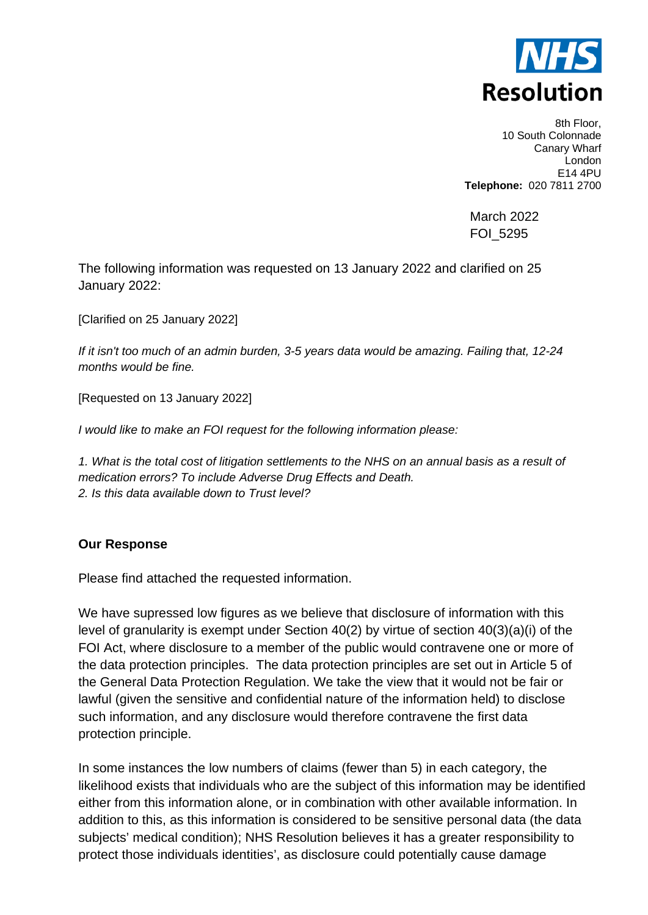

8th Floor, 10 South Colonnade Canary Wharf London E14 4PU **Telephone:** 020 7811 2700

March 2022 FOI\_5295

The following information was requested on 13 January 2022 and clarified on 25 January 2022:

[Clarified on 25 January 2022]

*If it isn't too much of an admin burden, 3-5 years data would be amazing. Failing that, 12-24 months would be fine.*

[Requested on 13 January 2022]

*I would like to make an FOI request for the following information please:*

*1. What is the total cost of litigation settlements to the NHS on an annual basis as a result of medication errors? To include Adverse Drug Effects and Death. 2. Is this data available down to Trust level?*

## **Our Response**

Please find attached the requested information.

We have supressed low figures as we believe that disclosure of information with this level of granularity is exempt under Section 40(2) by virtue of section 40(3)(a)(i) of the FOI Act, where disclosure to a member of the public would contravene one or more of the data protection principles. The data protection principles are set out in Article 5 of the General Data Protection Regulation. We take the view that it would not be fair or lawful (given the sensitive and confidential nature of the information held) to disclose such information, and any disclosure would therefore contravene the first data protection principle.

In some instances the low numbers of claims (fewer than 5) in each category, the likelihood exists that individuals who are the subject of this information may be identified either from this information alone, or in combination with other available information. In addition to this, as this information is considered to be sensitive personal data (the data subjects' medical condition); NHS Resolution believes it has a greater responsibility to protect those individuals identities', as disclosure could potentially cause damage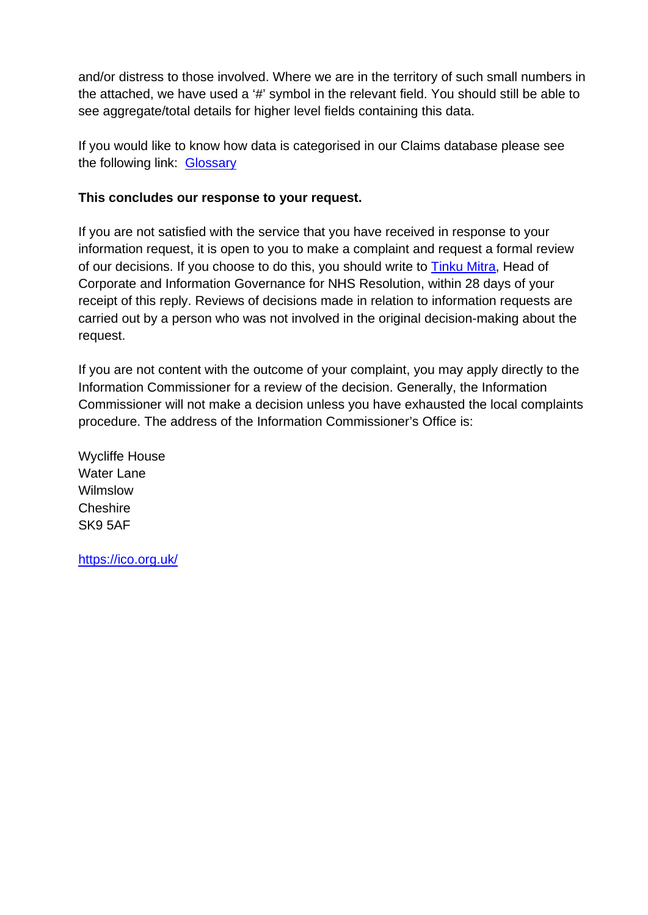and/or distress to those involved. Where we are in the territory of such small numbers in the attached, we have used a '#' symbol in the relevant field. You should still be able to see aggregate/total details for higher level fields containing this data.

If you would like to know how data is categorised in our Claims database please see the following link: [Glossary](https://resolution.nhs.uk/resources/understanding-nhs-resolution-data/)

## **This concludes our response to your request.**

If you are not satisfied with the service that you have received in response to your information request, it is open to you to make a complaint and request a formal review of our decisions. If you choose to do this, you should write to **Tinku Mitra**, Head of Corporate and Information Governance for NHS Resolution, within 28 days of your receipt of this reply. Reviews of decisions made in relation to information requests are carried out by a person who was not involved in the original decision-making about the request.

If you are not content with the outcome of your complaint, you may apply directly to the Information Commissioner for a review of the decision. Generally, the Information Commissioner will not make a decision unless you have exhausted the local complaints procedure. The address of the Information Commissioner's Office is:

Wycliffe House Water Lane Wilmslow **Cheshire** SK9 5AF

<https://ico.org.uk/>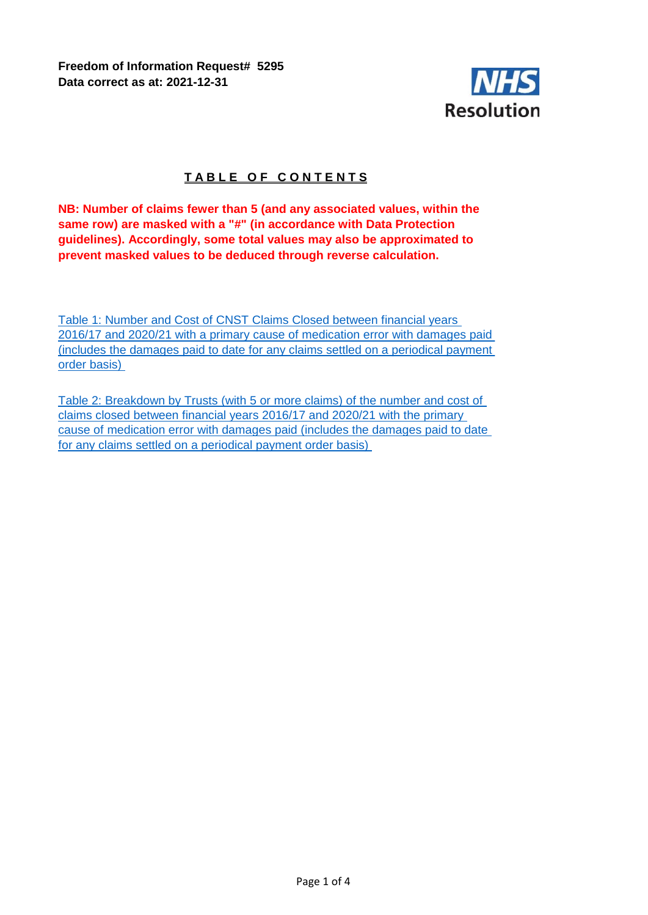**Freedom of Information Request# 5295 Data correct as at: 2021-12-31**



## **TABLE OF CONTENTS**

**NB: Number of claims fewer than 5 (and any associated values, within the same row) are masked with a "#" (in accordance with Data Protection guidelines). Accordingly, some total values may also be approximated to prevent masked values to be deduced through reverse calculation.**

Table 1: Number and Cost of CNST Claims Closed between financial years 2016/17 and 2020/21 with a primary cause of medication error with damages paid (includes the damages paid to date for any claims settled on a periodical payment order basis)

Table 2: Breakdown by Trusts (with 5 or more claims) of the number and cost of claims closed between financial years 2016/17 and 2020/21 with the primary cause of medication error with damages paid (includes the damages paid to date for any claims settled on a periodical payment order basis)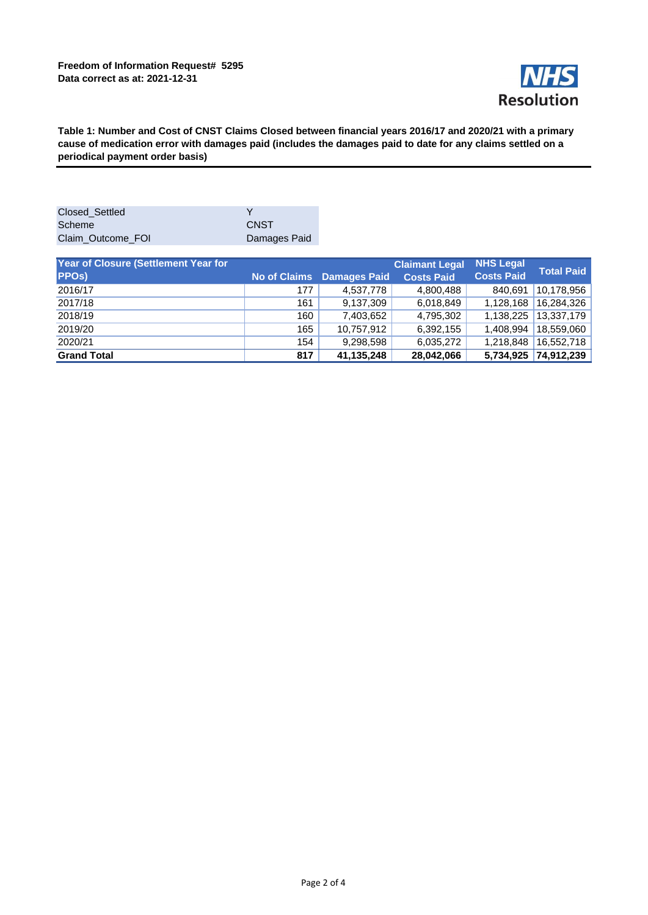

**Table 1: Number and Cost of CNST Claims Closed between financial years 2016/17 and 2020/21 with a primary cause of medication error with damages paid (includes the damages paid to date for any claims settled on a periodical payment order basis)** 

| Closed Settled    |              |
|-------------------|--------------|
| Scheme            | <b>CNST</b>  |
| Claim Outcome FOI | Damages Paid |

| Year of Closure (Settlement Year for<br><b>PPOs)</b> | <b>No of Claims</b> | <b>Damages Paid</b> | <b>Claimant Legal</b><br><b>Costs Paid</b> | <b>NHS Legal</b><br><b>Costs Paid</b> | <b>Total Paid</b> |
|------------------------------------------------------|---------------------|---------------------|--------------------------------------------|---------------------------------------|-------------------|
| 2016/17                                              | 177                 | 4,537,778           | 4,800,488                                  | 840.691                               | 10.178.956        |
| 2017/18                                              | 161                 | 9.137.309           | 6,018,849                                  | 1.128.168                             | 16,284,326        |
| 2018/19                                              | 160                 | 7,403,652           | 4,795,302                                  | 1.138.225                             | 13,337,179        |
| 2019/20                                              | 165                 | 10,757,912          | 6,392,155                                  | 1.408.994                             | 18,559,060        |
| 2020/21                                              | 154                 | 9,298,598           | 6,035,272                                  | 1,218,848                             | 16,552,718        |
| <b>Grand Total</b>                                   | 817                 | 41,135,248          | 28,042,066                                 | 5,734,925                             | 74,912,239        |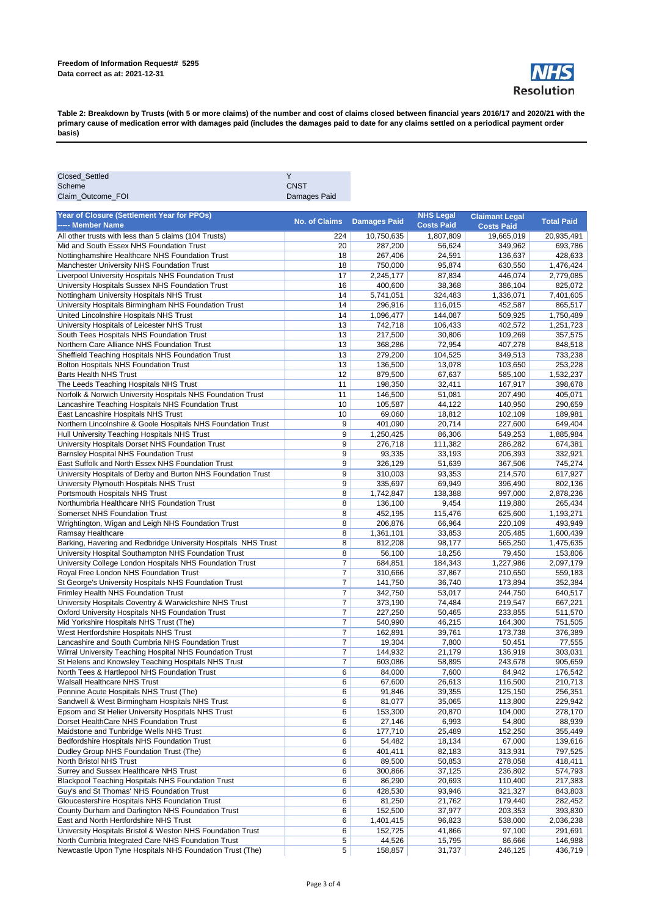

**Table 2: Breakdown by Trusts (with 5 or more claims) of the number and cost of claims closed between financial years 2016/17 and 2020/21 with the primary cause of medication error with damages paid (includes the damages paid to date for any claims settled on a periodical payment order basis)** 

| Closed_Settled                                                 | Υ                        |                     |                   |                       |                   |
|----------------------------------------------------------------|--------------------------|---------------------|-------------------|-----------------------|-------------------|
| Scheme                                                         | <b>CNST</b>              |                     |                   |                       |                   |
| Claim_Outcome_FOI                                              | Damages Paid             |                     |                   |                       |                   |
|                                                                |                          |                     |                   |                       |                   |
| Year of Closure (Settlement Year for PPOs)                     | <b>No. of Claims</b>     | <b>Damages Paid</b> | <b>NHS Legal</b>  | <b>Claimant Legal</b> | <b>Total Paid</b> |
| ----- Member Name                                              |                          |                     | <b>Costs Paid</b> | <b>Costs Paid</b>     |                   |
| All other trusts with less than 5 claims (104 Trusts)          | 224                      | 10,750,635          | 1,807,809         | 19,665,019            | 20,935,491        |
| Mid and South Essex NHS Foundation Trust                       | 20                       | 287,200             | 56,624            | 349,962               | 693,786           |
| Nottinghamshire Healthcare NHS Foundation Trust                | 18                       | 267,406             | 24,591            | 136,637               | 428,633           |
| Manchester University NHS Foundation Trust                     | 18                       | 750,000             | 95,874            | 630,550               | 1,476,424         |
| Liverpool University Hospitals NHS Foundation Trust            | 17                       | 2,245,177           | 87,834            | 446,074               | 2,779,085         |
| University Hospitals Sussex NHS Foundation Trust               | 16                       | 400,600             | 38,368            | 386,104               | 825,072           |
| Nottingham University Hospitals NHS Trust                      | 14                       | 5,741,051           | 324,483           | 1,336,071             | 7,401,605         |
| University Hospitals Birmingham NHS Foundation Trust           | 14                       | 296,916             | 116,015           | 452,587               | 865,517           |
| United Lincolnshire Hospitals NHS Trust                        | 14                       | 1,096,477           | 144,087           | 509,925               | 1,750,489         |
| University Hospitals of Leicester NHS Trust                    | 13                       | 742,718             | 106,433           | 402,572               | 1,251,723         |
| South Tees Hospitals NHS Foundation Trust                      | 13                       | 217,500             | 30,806            | 109,269               | 357,575           |
| Northern Care Alliance NHS Foundation Trust                    | 13                       | 368,286             | 72,954            | 407,278               | 848,518           |
| Sheffield Teaching Hospitals NHS Foundation Trust              | 13                       | 279,200             | 104,525           | 349,513               | 733,238           |
| Bolton Hospitals NHS Foundation Trust                          | 13                       | 136,500             | 13,078            | 103,650               | 253,228           |
| Barts Health NHS Trust                                         | 12                       | 879,500             | 67,637            | 585,100               | 1,532,237         |
| The Leeds Teaching Hospitals NHS Trust                         | 11                       | 198,350             | 32,411            | 167,917               | 398,678           |
| Norfolk & Norwich University Hospitals NHS Foundation Trust    | 11                       | 146,500             | 51,081            | 207,490               | 405,071           |
| Lancashire Teaching Hospitals NHS Foundation Trust             | 10                       | 105,587             | 44,122            | 140,950               | 290,659           |
| East Lancashire Hospitals NHS Trust                            | 10                       | 69,060              | 18,812            | 102,109               | 189,981           |
| Northern Lincolnshire & Goole Hospitals NHS Foundation Trust   | 9                        | 401,090             | 20,714            | 227,600               | 649,404           |
| Hull University Teaching Hospitals NHS Trust                   | 9                        | 1,250,425           | 86,306            | 549,253               | 1,885,984         |
| University Hospitals Dorset NHS Foundation Trust               | 9                        | 276,718             | 111,382           | 286,282               | 674,381           |
| Barnsley Hospital NHS Foundation Trust                         | 9                        | 93,335              | 33,193            | 206,393               | 332,921           |
| East Suffolk and North Essex NHS Foundation Trust              | 9                        | 326,129             | 51,639            | 367,506               | 745,274           |
| University Hospitals of Derby and Burton NHS Foundation Trust  | 9                        | 310,003             | 93,353            | 214,570               | 617,927           |
| University Plymouth Hospitals NHS Trust                        | 9                        | 335,697             | 69,949            | 396,490               | 802,136           |
| Portsmouth Hospitals NHS Trust                                 | 8                        | 1,742,847           | 138,388           | 997,000               | 2,878,236         |
| Northumbria Healthcare NHS Foundation Trust                    | 8                        | 136,100             | 9,454             | 119,880               | 265,434           |
| Somerset NHS Foundation Trust                                  | 8                        | 452,195             | 115,476           | 625,600               | 1,193,271         |
| Wrightington, Wigan and Leigh NHS Foundation Trust             | 8                        | 206,876             | 66,964            | 220,109               | 493,949           |
| Ramsay Healthcare                                              | 8                        | 1,361,101           | 33,853            | 205,485               | 1,600,439         |
| Barking, Havering and Redbridge University Hospitals NHS Trust | 8                        | 812,208             | 98,177            | 565,250               | 1,475,635         |
| University Hospital Southampton NHS Foundation Trust           | 8                        | 56,100              | 18,256            | 79,450                | 153,806           |
| University College London Hospitals NHS Foundation Trust       | $\overline{7}$           | 684,851             | 184,343           | 1,227,986             | 2,097,179         |
| Royal Free London NHS Foundation Trust                         | $\overline{7}$           | 310,666             | 37,867            | 210,650               | 559,183           |
| St George's University Hospitals NHS Foundation Trust          | 7                        | 141,750             | 36,740            | 173,894               | 352,384           |
| Frimley Health NHS Foundation Trust                            | $\overline{\mathcal{I}}$ | 342,750             | 53,017            | 244,750               | 640,517           |
| University Hospitals Coventry & Warwickshire NHS Trust         | $\overline{\mathcal{I}}$ | 373,190             | 74,484            | 219,547               | 667,221           |
| Oxford University Hospitals NHS Foundation Trust               | $\overline{7}$           | 227,250             | 50,465            | 233,855               | 511,570           |
| Mid Yorkshire Hospitals NHS Trust (The)                        | $\boldsymbol{7}$         | 540,990             | 46,215            | 164,300               | 751,505           |
| West Hertfordshire Hospitals NHS Trust                         | $\overline{7}$           | 162,891             | 39,761            | 173,738               | 376,389           |
| Lancashire and South Cumbria NHS Foundation Trust              | $\boldsymbol{7}$         | 19,304              | 7,800             | 50,451                | 77,555            |
|                                                                | $\overline{7}$           | 144.932             |                   |                       |                   |
| Wirral University Teaching Hospital NHS Foundation Trust       |                          |                     | 21,179            | 136,919               | 303,031           |
| St Helens and Knowsley Teaching Hospitals NHS Trust            | ſ                        | 603,086<br>84,000   | 58,895            | 243,678<br>84,942     | 905,659           |
| North Tees & Hartlepool NHS Foundation Trust                   | 6                        |                     | 7,600             |                       | 176,542           |
| Walsall Healthcare NHS Trust                                   | 6                        | 67,600              | 26,613            | 116,500               | 210,713           |
| Pennine Acute Hospitals NHS Trust (The)                        | 6                        | 91,846              | 39,355            | 125,150               | 256,351           |
| Sandwell & West Birmingham Hospitals NHS Trust                 | 6                        | 81,077              | 35,065            | 113,800               | 229,942           |
| Epsom and St Helier University Hospitals NHS Trust             | 6                        | 153,300             | 20,870            | 104,000               | 278,170           |
| Dorset HealthCare NHS Foundation Trust                         | 6                        | 27,146              | 6,993             | 54,800                | 88,939            |
| Maidstone and Tunbridge Wells NHS Trust                        | 6                        | 177,710             | 25,489            | 152,250               | 355,449           |
| Bedfordshire Hospitals NHS Foundation Trust                    | 6                        | 54,482              | 18,134            | 67,000                | 139,616           |
| Dudley Group NHS Foundation Trust (The)                        | 6                        | 401,411             | 82,183            | 313,931               | 797,525           |
| North Bristol NHS Trust                                        | 6                        | 89,500              | 50,853            | 278,058               | 418,411           |
| Surrey and Sussex Healthcare NHS Trust                         | 6                        | 300,866             | 37,125            | 236,802               | 574,793           |
| <b>Blackpool Teaching Hospitals NHS Foundation Trust</b>       | 6                        | 86,290              | 20,693            | 110,400               | 217,383           |
| Guy's and St Thomas' NHS Foundation Trust                      | 6                        | 428,530             | 93,946            | 321,327               | 843,803           |
| Gloucestershire Hospitals NHS Foundation Trust                 | 6                        | 81,250              | 21,762            | 179,440               | 282,452           |
| County Durham and Darlington NHS Foundation Trust              | 6                        | 152,500             | 37,977            | 203,353               | 393,830           |
| East and North Hertfordshire NHS Trust                         | 6                        | 1,401,415           | 96,823            | 538,000               | 2,036,238         |
| University Hospitals Bristol & Weston NHS Foundation Trust     | 6                        | 152,725             | 41,866            | 97,100                | 291,691           |
| North Cumbria Integrated Care NHS Foundation Trust             | 5                        | 44,526              | 15,795            | 86,666                | 146,988           |
| Newcastle Upon Tyne Hospitals NHS Foundation Trust (The)       | 5                        | 158,857             | 31,737            | 246,125               | 436,719           |